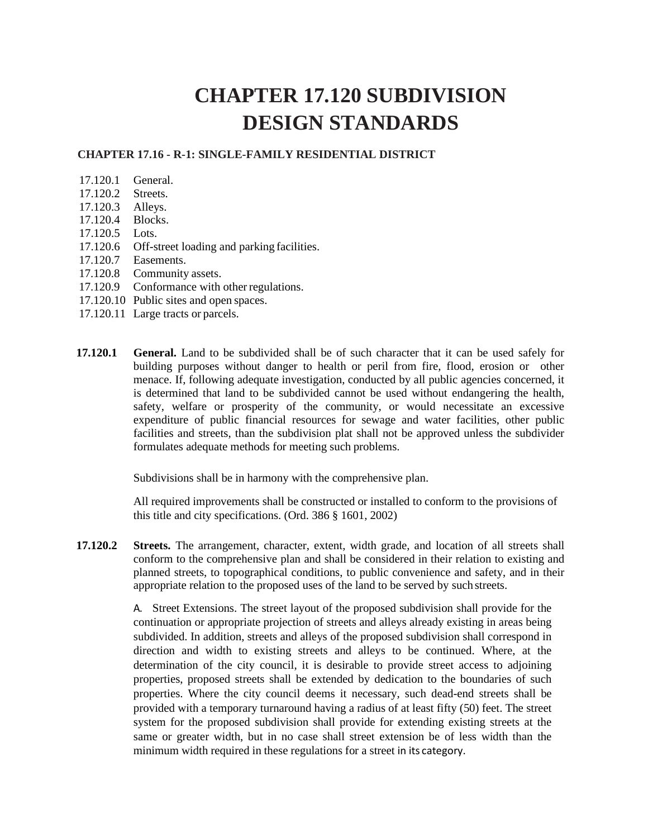## **CHAPTER 17.120 SUBDIVISION DESIGN STANDARDS**

## **CHAPTER 17.16 - R-1: SINGLE-FAMILY RESIDENTIAL DISTRICT**

- 17.120.1 General.
- 17.120.2 Streets.
- 17.120.3 Alleys.
- 17.120.4 Blocks.
- 17.120.5 Lots.
- 17.120.6 Off-street loading and parking facilities.
- 17.120.7 Easements.
- 17.120.8 Community assets.
- 17.120.9 Conformance with other regulations.
- 17.120.10 Public sites and open spaces.
- 17.120.11 Large tracts or parcels.
- **17.120.1 General.** Land to be subdivided shall be of such character that it can be used safely for building purposes without danger to health or peril from fire, flood, erosion or other menace. If, following adequate investigation, conducted by all public agencies concerned, it is determined that land to be subdivided cannot be used without endangering the health, safety, welfare or prosperity of the community, or would necessitate an excessive expenditure of public financial resources for sewage and water facilities, other public facilities and streets, than the subdivision plat shall not be approved unless the subdivider formulates adequate methods for meeting such problems.

Subdivisions shall be in harmony with the comprehensive plan.

All required improvements shall be constructed or installed to conform to the provisions of this title and city specifications. (Ord. 386 § 1601, 2002)

**17.120.2 Streets.** The arrangement, character, extent, width grade, and location of all streets shall conform to the comprehensive plan and shall be considered in their relation to existing and planned streets, to topographical conditions, to public convenience and safety, and in their appropriate relation to the proposed uses of the land to be served by such streets.

> A. Street Extensions. The street layout of the proposed subdivision shall provide for the continuation or appropriate projection of streets and alleys already existing in areas being subdivided. In addition, streets and alleys of the proposed subdivision shall correspond in direction and width to existing streets and alleys to be continued. Where, at the determination of the city council, it is desirable to provide street access to adjoining properties, proposed streets shall be extended by dedication to the boundaries of such properties. Where the city council deems it necessary, such dead-end streets shall be provided with a temporary turnaround having a radius of at least fifty (50) feet. The street system for the proposed subdivision shall provide for extending existing streets at the same or greater width, but in no case shall street extension be of less width than the minimum width required in these regulations for a street in its category.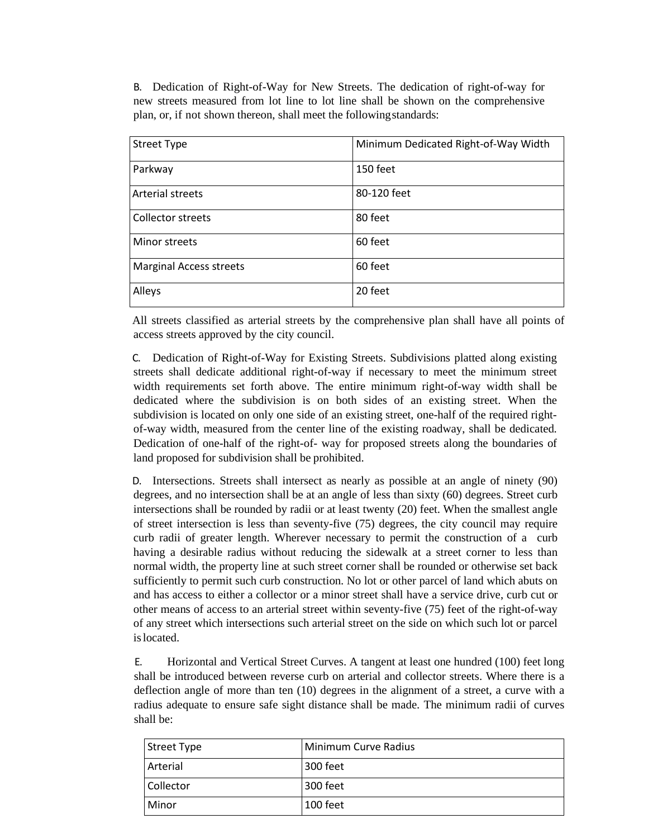B. Dedication of Right-of-Way for New Streets. The dedication of right-of-way for new streets measured from lot line to lot line shall be shown on the comprehensive plan, or, if not shown thereon, shall meet the followingstandards:

| <b>Street Type</b>             | Minimum Dedicated Right-of-Way Width |
|--------------------------------|--------------------------------------|
| Parkway                        | 150 feet                             |
| <b>Arterial streets</b>        | 80-120 feet                          |
| <b>Collector streets</b>       | 80 feet                              |
| Minor streets                  | 60 feet                              |
| <b>Marginal Access streets</b> | 60 feet                              |
| Alleys                         | 20 feet                              |

All streets classified as arterial streets by the comprehensive plan shall have all points of access streets approved by the city council.

C. Dedication of Right-of-Way for Existing Streets. Subdivisions platted along existing streets shall dedicate additional right-of-way if necessary to meet the minimum street width requirements set forth above. The entire minimum right-of-way width shall be dedicated where the subdivision is on both sides of an existing street. When the subdivision is located on only one side of an existing street, one-half of the required rightof-way width, measured from the center line of the existing roadway, shall be dedicated. Dedication of one-half of the right-of- way for proposed streets along the boundaries of land proposed for subdivision shall be prohibited.

D. Intersections. Streets shall intersect as nearly as possible at an angle of ninety (90) degrees, and no intersection shall be at an angle of less than sixty (60) degrees. Street curb intersections shall be rounded by radii or at least twenty (20) feet. When the smallest angle of street intersection is less than seventy-five (75) degrees, the city council may require curb radii of greater length. Wherever necessary to permit the construction of a curb having a desirable radius without reducing the sidewalk at a street corner to less than normal width, the property line at such street corner shall be rounded or otherwise set back sufficiently to permit such curb construction. No lot or other parcel of land which abuts on and has access to either a collector or a minor street shall have a service drive, curb cut or other means of access to an arterial street within seventy-five (75) feet of the right-of-way of any street which intersections such arterial street on the side on which such lot or parcel islocated.

E. Horizontal and Vertical Street Curves. A tangent at least one hundred (100) feet long shall be introduced between reverse curb on arterial and collector streets. Where there is a deflection angle of more than ten (10) degrees in the alignment of a street, a curve with a radius adequate to ensure safe sight distance shall be made. The minimum radii of curves shall be:

| Street Type | Minimum Curve Radius |
|-------------|----------------------|
| Arterial    | 300 feet             |
| Collector   | 300 feet             |
| Minor       | 100 feet             |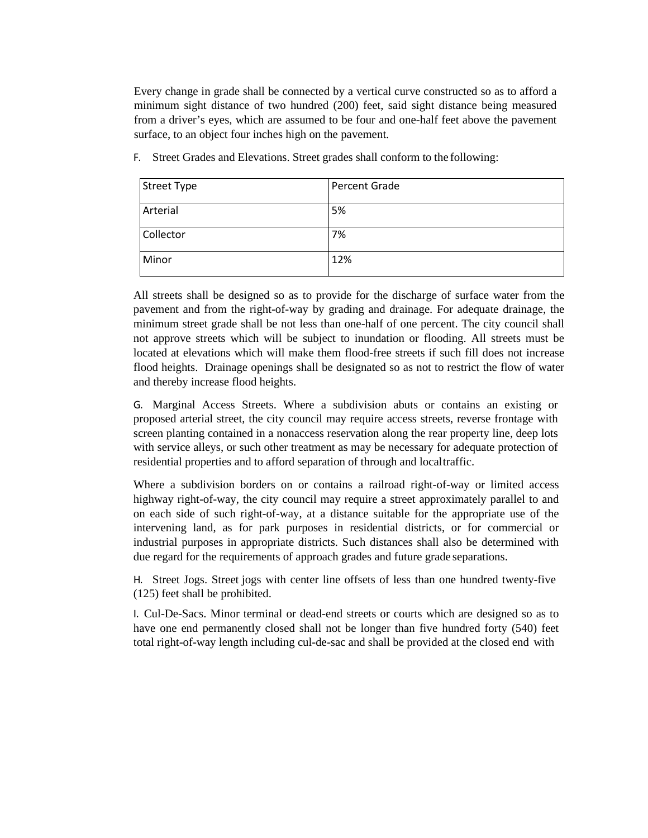Every change in grade shall be connected by a vertical curve constructed so as to afford a minimum sight distance of two hundred (200) feet, said sight distance being measured from a driver's eyes, which are assumed to be four and one-half feet above the pavement surface, to an object four inches high on the pavement.

| Street Type | Percent Grade |
|-------------|---------------|
| Arterial    | 5%            |
| Collector   | 7%            |
| Minor       | 12%           |

F. Street Grades and Elevations. Street grades shall conform to the following:

All streets shall be designed so as to provide for the discharge of surface water from the pavement and from the right-of-way by grading and drainage. For adequate drainage, the minimum street grade shall be not less than one-half of one percent. The city council shall not approve streets which will be subject to inundation or flooding. All streets must be located at elevations which will make them flood-free streets if such fill does not increase flood heights. Drainage openings shall be designated so as not to restrict the flow of water and thereby increase flood heights.

G. Marginal Access Streets. Where a subdivision abuts or contains an existing or proposed arterial street, the city council may require access streets, reverse frontage with screen planting contained in a nonaccess reservation along the rear property line, deep lots with service alleys, or such other treatment as may be necessary for adequate protection of residential properties and to afford separation of through and localtraffic.

Where a subdivision borders on or contains a railroad right-of-way or limited access highway right-of-way, the city council may require a street approximately parallel to and on each side of such right-of-way, at a distance suitable for the appropriate use of the intervening land, as for park purposes in residential districts, or for commercial or industrial purposes in appropriate districts. Such distances shall also be determined with due regard for the requirements of approach grades and future grade separations.

H. Street Jogs. Street jogs with center line offsets of less than one hundred twenty-five (125) feet shall be prohibited.

I. Cul-De-Sacs. Minor terminal or dead-end streets or courts which are designed so as to have one end permanently closed shall not be longer than five hundred forty (540) feet total right-of-way length including cul-de-sac and shall be provided at the closed end with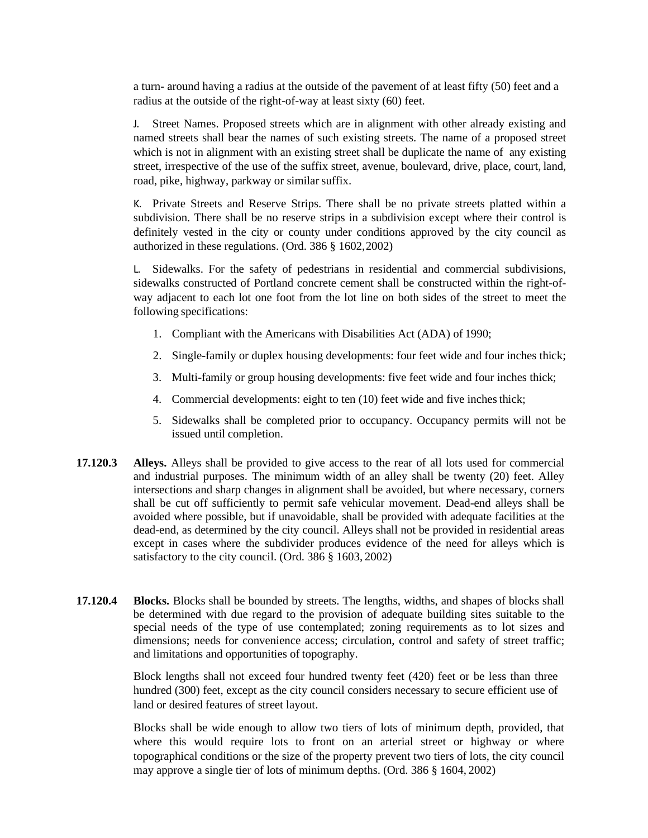a turn- around having a radius at the outside of the pavement of at least fifty (50) feet and a radius at the outside of the right-of-way at least sixty (60) feet.

J. Street Names. Proposed streets which are in alignment with other already existing and named streets shall bear the names of such existing streets. The name of a proposed street which is not in alignment with an existing street shall be duplicate the name of any existing street, irrespective of the use of the suffix street, avenue, boulevard, drive, place, court, land, road, pike, highway, parkway or similar suffix.

K. Private Streets and Reserve Strips. There shall be no private streets platted within a subdivision. There shall be no reserve strips in a subdivision except where their control is definitely vested in the city or county under conditions approved by the city council as authorized in these regulations. (Ord. 386 § 1602,2002)

L. Sidewalks. For the safety of pedestrians in residential and commercial subdivisions, sidewalks constructed of Portland concrete cement shall be constructed within the right-ofway adjacent to each lot one foot from the lot line on both sides of the street to meet the following specifications:

- 1. Compliant with the Americans with Disabilities Act (ADA) of 1990;
- 2. Single-family or duplex housing developments: four feet wide and four inches thick;
- 3. Multi-family or group housing developments: five feet wide and four inches thick;
- 4. Commercial developments: eight to ten (10) feet wide and five inches thick;
- 5. Sidewalks shall be completed prior to occupancy. Occupancy permits will not be issued until completion.
- **17.120.3 Alleys.** Alleys shall be provided to give access to the rear of all lots used for commercial and industrial purposes. The minimum width of an alley shall be twenty (20) feet. Alley intersections and sharp changes in alignment shall be avoided, but where necessary, corners shall be cut off sufficiently to permit safe vehicular movement. Dead-end alleys shall be avoided where possible, but if unavoidable, shall be provided with adequate facilities at the dead-end, as determined by the city council. Alleys shall not be provided in residential areas except in cases where the subdivider produces evidence of the need for alleys which is satisfactory to the city council. (Ord. 386 § 1603, 2002)
- **17.120.4 Blocks.** Blocks shall be bounded by streets. The lengths, widths, and shapes of blocks shall be determined with due regard to the provision of adequate building sites suitable to the special needs of the type of use contemplated; zoning requirements as to lot sizes and dimensions; needs for convenience access; circulation, control and safety of street traffic; and limitations and opportunities of topography.

Block lengths shall not exceed four hundred twenty feet (420) feet or be less than three hundred (300) feet, except as the city council considers necessary to secure efficient use of land or desired features of street layout.

Blocks shall be wide enough to allow two tiers of lots of minimum depth, provided, that where this would require lots to front on an arterial street or highway or where topographical conditions or the size of the property prevent two tiers of lots, the city council may approve a single tier of lots of minimum depths. (Ord. 386 § 1604, 2002)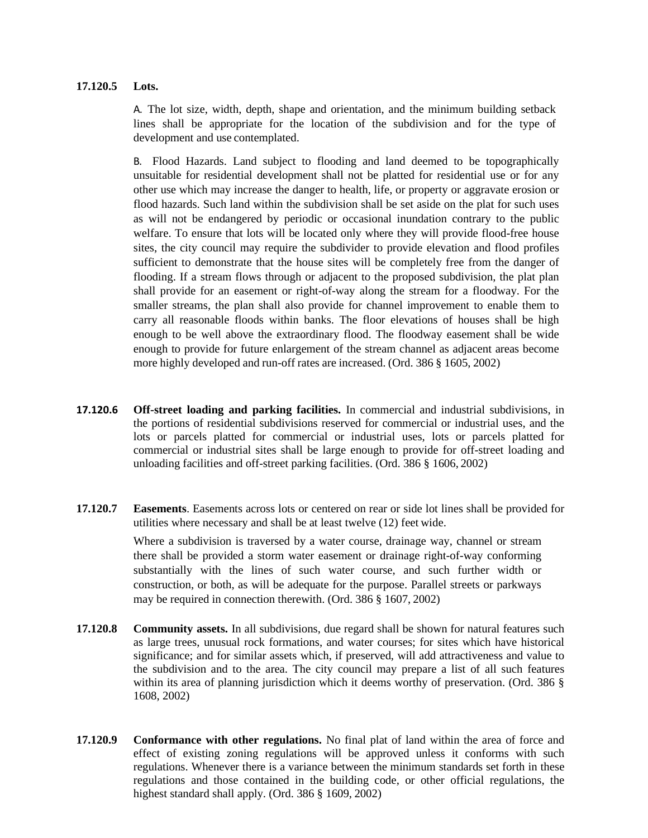## **17.120.5 Lots.**

A. The lot size, width, depth, shape and orientation, and the minimum building setback lines shall be appropriate for the location of the subdivision and for the type of development and use contemplated.

B. Flood Hazards. Land subject to flooding and land deemed to be topographically unsuitable for residential development shall not be platted for residential use or for any other use which may increase the danger to health, life, or property or aggravate erosion or flood hazards. Such land within the subdivision shall be set aside on the plat for such uses as will not be endangered by periodic or occasional inundation contrary to the public welfare. To ensure that lots will be located only where they will provide flood-free house sites, the city council may require the subdivider to provide elevation and flood profiles sufficient to demonstrate that the house sites will be completely free from the danger of flooding. If a stream flows through or adjacent to the proposed subdivision, the plat plan shall provide for an easement or right-of-way along the stream for a floodway. For the smaller streams, the plan shall also provide for channel improvement to enable them to carry all reasonable floods within banks. The floor elevations of houses shall be high enough to be well above the extraordinary flood. The floodway easement shall be wide enough to provide for future enlargement of the stream channel as adjacent areas become more highly developed and run-off rates are increased. (Ord. 386 § 1605, 2002)

- **17.120.6 Off-street loading and parking facilities.** In commercial and industrial subdivisions, in the portions of residential subdivisions reserved for commercial or industrial uses, and the lots or parcels platted for commercial or industrial uses, lots or parcels platted for commercial or industrial sites shall be large enough to provide for off-street loading and unloading facilities and off-street parking facilities. (Ord. 386 § 1606, 2002)
- **17.120.7 Easements**. Easements across lots or centered on rear or side lot lines shall be provided for utilities where necessary and shall be at least twelve (12) feet wide.

Where a subdivision is traversed by a water course, drainage way, channel or stream there shall be provided a storm water easement or drainage right-of-way conforming substantially with the lines of such water course, and such further width or construction, or both, as will be adequate for the purpose. Parallel streets or parkways may be required in connection therewith. (Ord. 386 § 1607, 2002)

- **17.120.8 Community assets.** In all subdivisions, due regard shall be shown for natural features such as large trees, unusual rock formations, and water courses; for sites which have historical significance; and for similar assets which, if preserved, will add attractiveness and value to the subdivision and to the area. The city council may prepare a list of all such features within its area of planning jurisdiction which it deems worthy of preservation. (Ord. 386 § 1608, 2002)
- **17.120.9 Conformance with other regulations.** No final plat of land within the area of force and effect of existing zoning regulations will be approved unless it conforms with such regulations. Whenever there is a variance between the minimum standards set forth in these regulations and those contained in the building code, or other official regulations, the highest standard shall apply. (Ord. 386 § 1609, 2002)